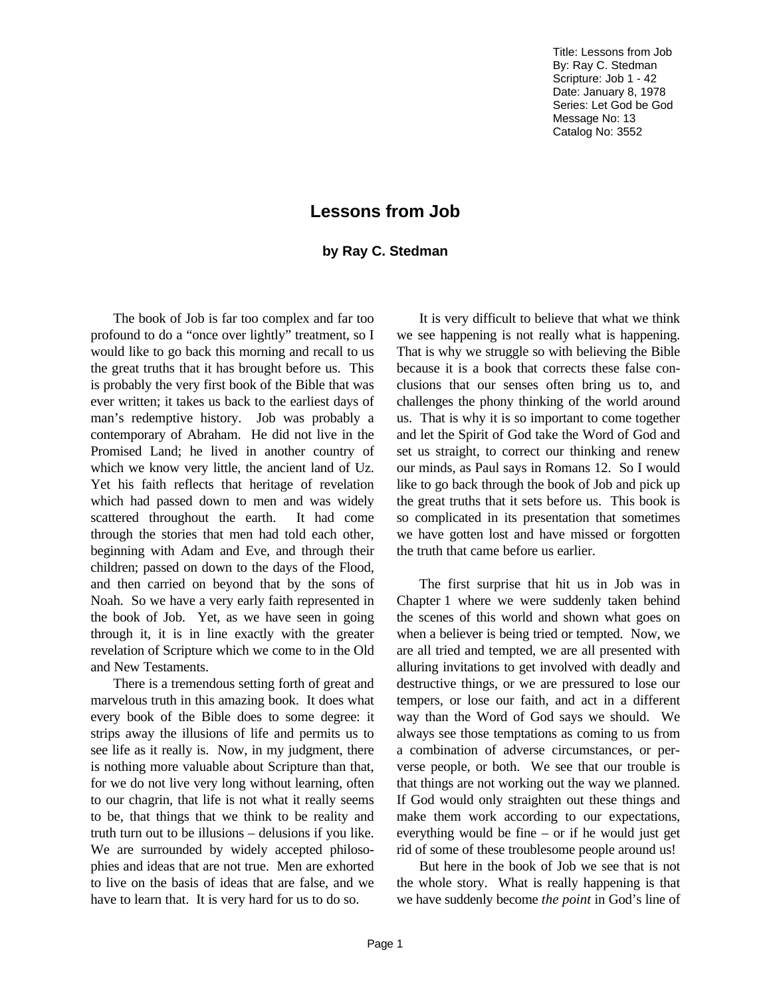Title: Lessons from Job By: Ray C. Stedman Scripture: Job 1 - 42 Date: January 8, 1978 Series: Let God be God Message No: 13 Catalog No: 3552

## **Lessons from Job**

## **by Ray C. Stedman**

The book of Job is far too complex and far too profound to do a "once over lightly" treatment, so I would like to go back this morning and recall to us the great truths that it has brought before us. This is probably the very first book of the Bible that was ever written; it takes us back to the earliest days of man's redemptive history. Job was probably a contemporary of Abraham. He did not live in the Promised Land; he lived in another country of which we know very little, the ancient land of Uz. Yet his faith reflects that heritage of revelation which had passed down to men and was widely scattered throughout the earth. It had come through the stories that men had told each other, beginning with Adam and Eve, and through their children; passed on down to the days of the Flood, and then carried on beyond that by the sons of Noah. So we have a very early faith represented in the book of Job. Yet, as we have seen in going through it, it is in line exactly with the greater revelation of Scripture which we come to in the Old and New Testaments.

There is a tremendous setting forth of great and marvelous truth in this amazing book. It does what every book of the Bible does to some degree: it strips away the illusions of life and permits us to see life as it really is. Now, in my judgment, there is nothing more valuable about Scripture than that, for we do not live very long without learning, often to our chagrin, that life is not what it really seems to be, that things that we think to be reality and truth turn out to be illusions – delusions if you like. We are surrounded by widely accepted philosophies and ideas that are not true. Men are exhorted to live on the basis of ideas that are false, and we have to learn that. It is very hard for us to do so.

It is very difficult to believe that what we think we see happening is not really what is happening. That is why we struggle so with believing the Bible because it is a book that corrects these false conclusions that our senses often bring us to, and challenges the phony thinking of the world around us. That is why it is so important to come together and let the Spirit of God take the Word of God and set us straight, to correct our thinking and renew our minds, as Paul says in Romans 12. So I would like to go back through the book of Job and pick up the great truths that it sets before us. This book is so complicated in its presentation that sometimes we have gotten lost and have missed or forgotten the truth that came before us earlier.

The first surprise that hit us in Job was in Chapter 1 where we were suddenly taken behind the scenes of this world and shown what goes on when a believer is being tried or tempted. Now, we are all tried and tempted, we are all presented with alluring invitations to get involved with deadly and destructive things, or we are pressured to lose our tempers, or lose our faith, and act in a different way than the Word of God says we should. We always see those temptations as coming to us from a combination of adverse circumstances, or perverse people, or both. We see that our trouble is that things are not working out the way we planned. If God would only straighten out these things and make them work according to our expectations, everything would be fine – or if he would just get rid of some of these troublesome people around us!

But here in the book of Job we see that is not the whole story. What is really happening is that we have suddenly become *the point* in God's line of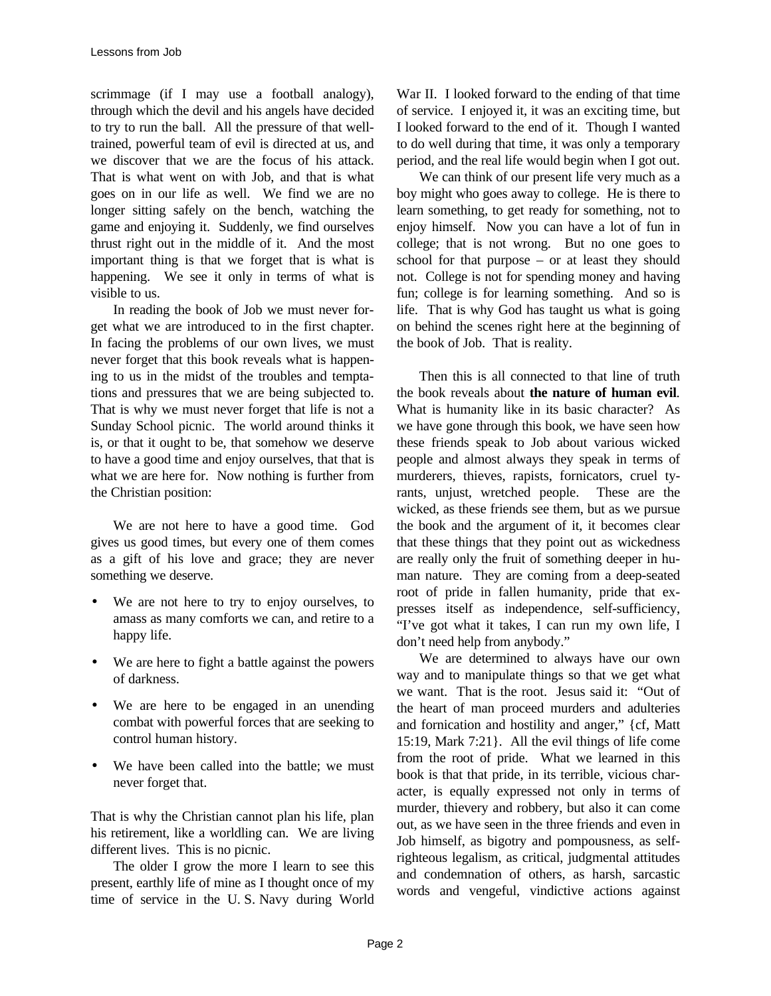scrimmage (if I may use a football analogy), through which the devil and his angels have decided to try to run the ball. All the pressure of that welltrained, powerful team of evil is directed at us, and we discover that we are the focus of his attack. That is what went on with Job, and that is what goes on in our life as well. We find we are no longer sitting safely on the bench, watching the game and enjoying it. Suddenly, we find ourselves thrust right out in the middle of it. And the most important thing is that we forget that is what is happening. We see it only in terms of what is visible to us.

In reading the book of Job we must never forget what we are introduced to in the first chapter. In facing the problems of our own lives, we must never forget that this book reveals what is happening to us in the midst of the troubles and temptations and pressures that we are being subjected to. That is why we must never forget that life is not a Sunday School picnic. The world around thinks it is, or that it ought to be, that somehow we deserve to have a good time and enjoy ourselves, that that is what we are here for. Now nothing is further from the Christian position:

We are not here to have a good time. God gives us good times, but every one of them comes as a gift of his love and grace; they are never something we deserve.

- We are not here to try to enjoy ourselves, to amass as many comforts we can, and retire to a happy life.
- We are here to fight a battle against the powers of darkness.
- We are here to be engaged in an unending combat with powerful forces that are seeking to control human history.
- We have been called into the battle; we must never forget that.

That is why the Christian cannot plan his life, plan his retirement, like a worldling can. We are living different lives. This is no picnic.

The older I grow the more I learn to see this present, earthly life of mine as I thought once of my time of service in the U. S. Navy during World War II. I looked forward to the ending of that time of service. I enjoyed it, it was an exciting time, but I looked forward to the end of it. Though I wanted to do well during that time, it was only a temporary period, and the real life would begin when I got out.

We can think of our present life very much as a boy might who goes away to college. He is there to learn something, to get ready for something, not to enjoy himself. Now you can have a lot of fun in college; that is not wrong. But no one goes to school for that purpose – or at least they should not. College is not for spending money and having fun; college is for learning something. And so is life. That is why God has taught us what is going on behind the scenes right here at the beginning of the book of Job. That is reality.

Then this is all connected to that line of truth the book reveals about **the nature of human evil**. What is humanity like in its basic character? As we have gone through this book, we have seen how these friends speak to Job about various wicked people and almost always they speak in terms of murderers, thieves, rapists, fornicators, cruel tyrants, unjust, wretched people. These are the wicked, as these friends see them, but as we pursue the book and the argument of it, it becomes clear that these things that they point out as wickedness are really only the fruit of something deeper in human nature. They are coming from a deep-seated root of pride in fallen humanity, pride that expresses itself as independence, self-sufficiency, "I've got what it takes, I can run my own life, I don't need help from anybody."

We are determined to always have our own way and to manipulate things so that we get what we want. That is the root. Jesus said it: "Out of the heart of man proceed murders and adulteries and fornication and hostility and anger," {cf, Matt 15:19, Mark 7:21}. All the evil things of life come from the root of pride. What we learned in this book is that that pride, in its terrible, vicious character, is equally expressed not only in terms of murder, thievery and robbery, but also it can come out, as we have seen in the three friends and even in Job himself, as bigotry and pompousness, as selfrighteous legalism, as critical, judgmental attitudes and condemnation of others, as harsh, sarcastic words and vengeful, vindictive actions against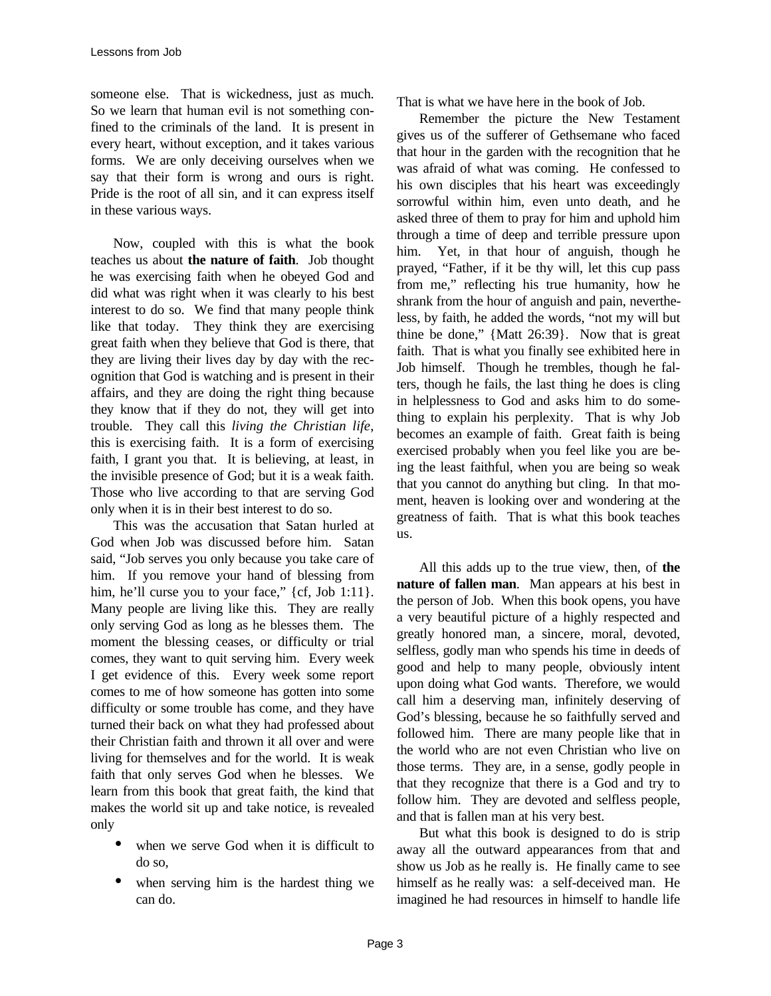someone else. That is wickedness, just as much. So we learn that human evil is not something confined to the criminals of the land. It is present in every heart, without exception, and it takes various forms. We are only deceiving ourselves when we say that their form is wrong and ours is right. Pride is the root of all sin, and it can express itself in these various ways.

Now, coupled with this is what the book teaches us about **the nature of faith**. Job thought he was exercising faith when he obeyed God and did what was right when it was clearly to his best interest to do so. We find that many people think like that today. They think they are exercising great faith when they believe that God is there, that they are living their lives day by day with the recognition that God is watching and is present in their affairs, and they are doing the right thing because they know that if they do not, they will get into trouble. They call this *living the Christian life*, this is exercising faith. It is a form of exercising faith, I grant you that. It is believing, at least, in the invisible presence of God; but it is a weak faith. Those who live according to that are serving God only when it is in their best interest to do so.

This was the accusation that Satan hurled at God when Job was discussed before him. Satan said, "Job serves you only because you take care of him. If you remove your hand of blessing from him, he'll curse you to your face," {cf, Job 1:11}. Many people are living like this. They are really only serving God as long as he blesses them. The moment the blessing ceases, or difficulty or trial comes, they want to quit serving him. Every week I get evidence of this. Every week some report comes to me of how someone has gotten into some difficulty or some trouble has come, and they have turned their back on what they had professed about their Christian faith and thrown it all over and were living for themselves and for the world. It is weak faith that only serves God when he blesses. We learn from this book that great faith, the kind that makes the world sit up and take notice, is revealed only

- when we serve God when it is difficult to do so,
- when serving him is the hardest thing we can do.

That is what we have here in the book of Job.

Remember the picture the New Testament gives us of the sufferer of Gethsemane who faced that hour in the garden with the recognition that he was afraid of what was coming. He confessed to his own disciples that his heart was exceedingly sorrowful within him, even unto death, and he asked three of them to pray for him and uphold him through a time of deep and terrible pressure upon him. Yet, in that hour of anguish, though he prayed, "Father, if it be thy will, let this cup pass from me," reflecting his true humanity, how he shrank from the hour of anguish and pain, nevertheless, by faith, he added the words, "not my will but thine be done," {Matt 26:39}. Now that is great faith. That is what you finally see exhibited here in Job himself. Though he trembles, though he falters, though he fails, the last thing he does is cling in helplessness to God and asks him to do something to explain his perplexity. That is why Job becomes an example of faith. Great faith is being exercised probably when you feel like you are being the least faithful, when you are being so weak that you cannot do anything but cling. In that moment, heaven is looking over and wondering at the greatness of faith. That is what this book teaches us.

All this adds up to the true view, then, of **the nature of fallen man**. Man appears at his best in the person of Job. When this book opens, you have a very beautiful picture of a highly respected and greatly honored man, a sincere, moral, devoted, selfless, godly man who spends his time in deeds of good and help to many people, obviously intent upon doing what God wants. Therefore, we would call him a deserving man, infinitely deserving of God's blessing, because he so faithfully served and followed him. There are many people like that in the world who are not even Christian who live on those terms. They are, in a sense, godly people in that they recognize that there is a God and try to follow him. They are devoted and selfless people, and that is fallen man at his very best.

But what this book is designed to do is strip away all the outward appearances from that and show us Job as he really is. He finally came to see himself as he really was: a self-deceived man. He imagined he had resources in himself to handle life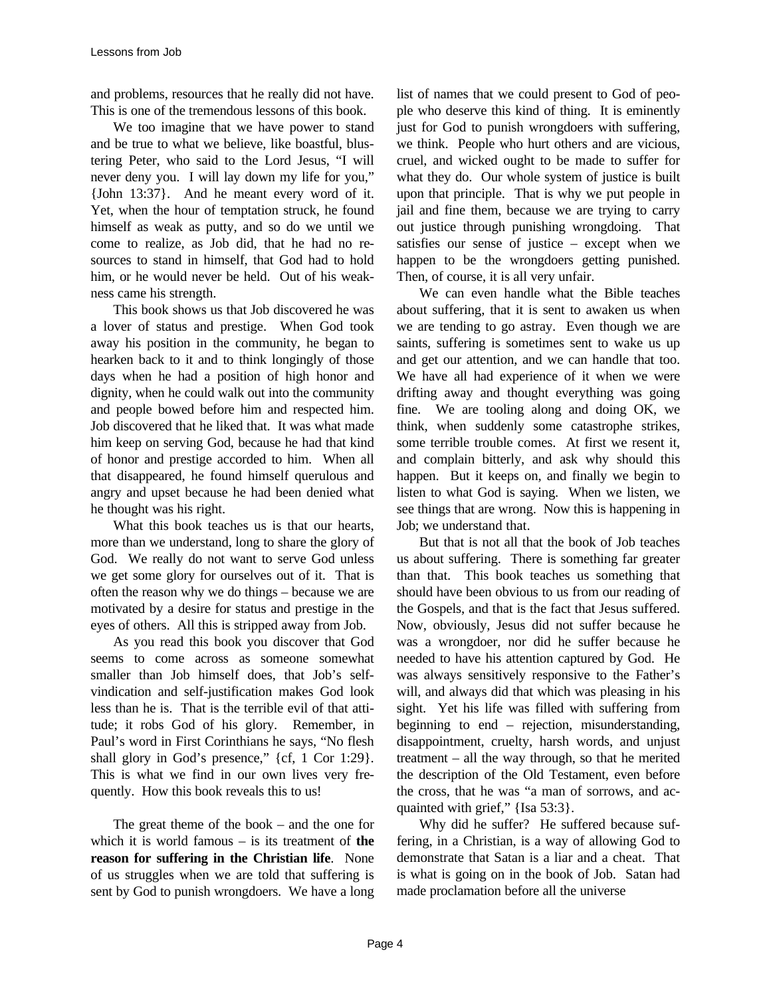and problems, resources that he really did not have. This is one of the tremendous lessons of this book.

We too imagine that we have power to stand and be true to what we believe, like boastful, blustering Peter, who said to the Lord Jesus, "I will never deny you. I will lay down my life for you," {John 13:37}. And he meant every word of it. Yet, when the hour of temptation struck, he found himself as weak as putty, and so do we until we come to realize, as Job did, that he had no resources to stand in himself, that God had to hold him, or he would never be held. Out of his weakness came his strength.

This book shows us that Job discovered he was a lover of status and prestige. When God took away his position in the community, he began to hearken back to it and to think longingly of those days when he had a position of high honor and dignity, when he could walk out into the community and people bowed before him and respected him. Job discovered that he liked that. It was what made him keep on serving God, because he had that kind of honor and prestige accorded to him. When all that disappeared, he found himself querulous and angry and upset because he had been denied what he thought was his right.

What this book teaches us is that our hearts, more than we understand, long to share the glory of God. We really do not want to serve God unless we get some glory for ourselves out of it. That is often the reason why we do things – because we are motivated by a desire for status and prestige in the eyes of others. All this is stripped away from Job.

As you read this book you discover that God seems to come across as someone somewhat smaller than Job himself does, that Job's selfvindication and self-justification makes God look less than he is. That is the terrible evil of that attitude; it robs God of his glory. Remember, in Paul's word in First Corinthians he says, "No flesh shall glory in God's presence," {cf, 1 Cor 1:29}. This is what we find in our own lives very frequently. How this book reveals this to us!

The great theme of the book – and the one for which it is world famous – is its treatment of **the reason for suffering in the Christian life**. None of us struggles when we are told that suffering is sent by God to punish wrongdoers. We have a long

list of names that we could present to God of people who deserve this kind of thing. It is eminently just for God to punish wrongdoers with suffering, we think. People who hurt others and are vicious, cruel, and wicked ought to be made to suffer for what they do. Our whole system of justice is built upon that principle. That is why we put people in jail and fine them, because we are trying to carry out justice through punishing wrongdoing. That satisfies our sense of justice – except when we happen to be the wrongdoers getting punished. Then, of course, it is all very unfair.

We can even handle what the Bible teaches about suffering, that it is sent to awaken us when we are tending to go astray. Even though we are saints, suffering is sometimes sent to wake us up and get our attention, and we can handle that too. We have all had experience of it when we were drifting away and thought everything was going fine. We are tooling along and doing OK, we think, when suddenly some catastrophe strikes, some terrible trouble comes. At first we resent it, and complain bitterly, and ask why should this happen. But it keeps on, and finally we begin to listen to what God is saying. When we listen, we see things that are wrong. Now this is happening in Job; we understand that.

But that is not all that the book of Job teaches us about suffering. There is something far greater than that. This book teaches us something that should have been obvious to us from our reading of the Gospels, and that is the fact that Jesus suffered. Now, obviously, Jesus did not suffer because he was a wrongdoer, nor did he suffer because he needed to have his attention captured by God. He was always sensitively responsive to the Father's will, and always did that which was pleasing in his sight. Yet his life was filled with suffering from beginning to end – rejection, misunderstanding, disappointment, cruelty, harsh words, and unjust treatment – all the way through, so that he merited the description of the Old Testament, even before the cross, that he was "a man of sorrows, and acquainted with grief," {Isa 53:3}.

Why did he suffer? He suffered because suffering, in a Christian, is a way of allowing God to demonstrate that Satan is a liar and a cheat. That is what is going on in the book of Job. Satan had made proclamation before all the universe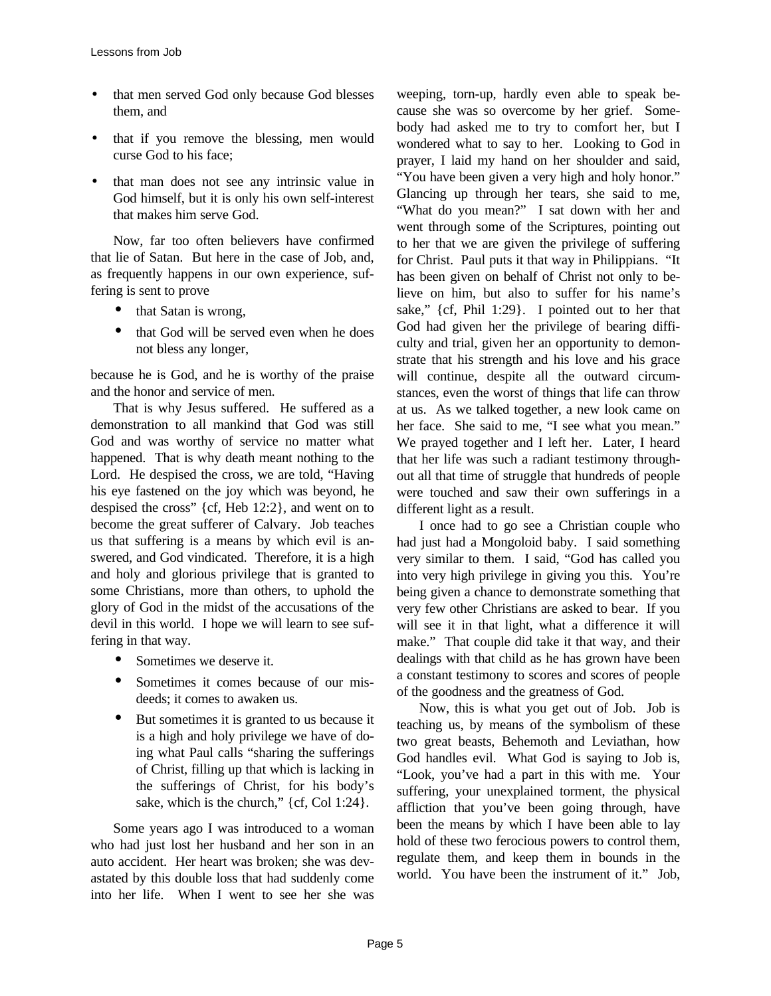- that men served God only because God blesses them, and
- that if you remove the blessing, men would curse God to his face;
- that man does not see any intrinsic value in God himself, but it is only his own self-interest that makes him serve God.

Now, far too often believers have confirmed that lie of Satan. But here in the case of Job, and, as frequently happens in our own experience, suffering is sent to prove

- that Satan is wrong,
- that God will be served even when he does not bless any longer,

because he is God, and he is worthy of the praise and the honor and service of men.

That is why Jesus suffered. He suffered as a demonstration to all mankind that God was still God and was worthy of service no matter what happened. That is why death meant nothing to the Lord. He despised the cross, we are told, "Having his eye fastened on the joy which was beyond, he despised the cross" {cf, Heb 12:2}, and went on to become the great sufferer of Calvary. Job teaches us that suffering is a means by which evil is answered, and God vindicated. Therefore, it is a high and holy and glorious privilege that is granted to some Christians, more than others, to uphold the glory of God in the midst of the accusations of the devil in this world. I hope we will learn to see suffering in that way.

- Sometimes we deserve it.
- Sometimes it comes because of our misdeeds; it comes to awaken us.
- But sometimes it is granted to us because it is a high and holy privilege we have of doing what Paul calls "sharing the sufferings of Christ, filling up that which is lacking in the sufferings of Christ, for his body's sake, which is the church," {cf, Col 1:24}.

Some years ago I was introduced to a woman who had just lost her husband and her son in an auto accident. Her heart was broken; she was devastated by this double loss that had suddenly come into her life. When I went to see her she was

weeping, torn-up, hardly even able to speak because she was so overcome by her grief. Somebody had asked me to try to comfort her, but I wondered what to say to her. Looking to God in prayer, I laid my hand on her shoulder and said, "You have been given a very high and holy honor." Glancing up through her tears, she said to me, "What do you mean?" I sat down with her and went through some of the Scriptures, pointing out to her that we are given the privilege of suffering for Christ. Paul puts it that way in Philippians. "It has been given on behalf of Christ not only to believe on him, but also to suffer for his name's sake," {cf, Phil 1:29}. I pointed out to her that God had given her the privilege of bearing difficulty and trial, given her an opportunity to demonstrate that his strength and his love and his grace will continue, despite all the outward circumstances, even the worst of things that life can throw at us. As we talked together, a new look came on her face. She said to me, "I see what you mean." We prayed together and I left her. Later, I heard that her life was such a radiant testimony throughout all that time of struggle that hundreds of people were touched and saw their own sufferings in a different light as a result.

I once had to go see a Christian couple who had just had a Mongoloid baby. I said something very similar to them. I said, "God has called you into very high privilege in giving you this. You're being given a chance to demonstrate something that very few other Christians are asked to bear. If you will see it in that light, what a difference it will make." That couple did take it that way, and their dealings with that child as he has grown have been a constant testimony to scores and scores of people of the goodness and the greatness of God.

Now, this is what you get out of Job. Job is teaching us, by means of the symbolism of these two great beasts, Behemoth and Leviathan, how God handles evil. What God is saying to Job is, "Look, you've had a part in this with me. Your suffering, your unexplained torment, the physical affliction that you've been going through, have been the means by which I have been able to lay hold of these two ferocious powers to control them, regulate them, and keep them in bounds in the world. You have been the instrument of it." Job,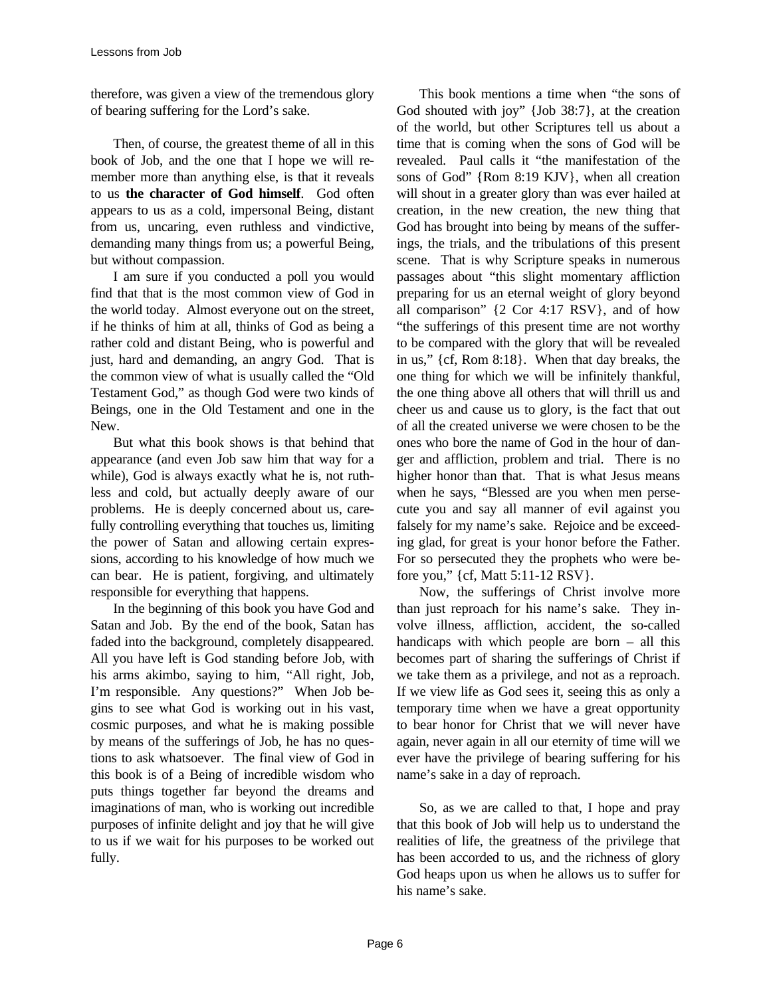therefore, was given a view of the tremendous glory of bearing suffering for the Lord's sake.

Then, of course, the greatest theme of all in this book of Job, and the one that I hope we will remember more than anything else, is that it reveals to us **the character of God himself**. God often appears to us as a cold, impersonal Being, distant from us, uncaring, even ruthless and vindictive, demanding many things from us; a powerful Being, but without compassion.

I am sure if you conducted a poll you would find that that is the most common view of God in the world today. Almost everyone out on the street, if he thinks of him at all, thinks of God as being a rather cold and distant Being, who is powerful and just, hard and demanding, an angry God. That is the common view of what is usually called the "Old Testament God," as though God were two kinds of Beings, one in the Old Testament and one in the New.

But what this book shows is that behind that appearance (and even Job saw him that way for a while), God is always exactly what he is, not ruthless and cold, but actually deeply aware of our problems. He is deeply concerned about us, carefully controlling everything that touches us, limiting the power of Satan and allowing certain expressions, according to his knowledge of how much we can bear. He is patient, forgiving, and ultimately responsible for everything that happens.

In the beginning of this book you have God and Satan and Job. By the end of the book, Satan has faded into the background, completely disappeared. All you have left is God standing before Job, with his arms akimbo, saying to him, "All right, Job, I'm responsible. Any questions?" When Job begins to see what God is working out in his vast, cosmic purposes, and what he is making possible by means of the sufferings of Job, he has no questions to ask whatsoever. The final view of God in this book is of a Being of incredible wisdom who puts things together far beyond the dreams and imaginations of man, who is working out incredible purposes of infinite delight and joy that he will give to us if we wait for his purposes to be worked out fully.

This book mentions a time when "the sons of God shouted with joy" {Job 38:7}, at the creation of the world, but other Scriptures tell us about a time that is coming when the sons of God will be revealed. Paul calls it "the manifestation of the sons of God" {Rom 8:19 KJV}, when all creation will shout in a greater glory than was ever hailed at creation, in the new creation, the new thing that God has brought into being by means of the sufferings, the trials, and the tribulations of this present scene. That is why Scripture speaks in numerous passages about "this slight momentary affliction preparing for us an eternal weight of glory beyond all comparison" {2 Cor 4:17 RSV}, and of how "the sufferings of this present time are not worthy to be compared with the glory that will be revealed in us," {cf, Rom 8:18}. When that day breaks, the one thing for which we will be infinitely thankful, the one thing above all others that will thrill us and cheer us and cause us to glory, is the fact that out of all the created universe we were chosen to be the ones who bore the name of God in the hour of danger and affliction, problem and trial. There is no higher honor than that. That is what Jesus means when he says, "Blessed are you when men persecute you and say all manner of evil against you falsely for my name's sake. Rejoice and be exceeding glad, for great is your honor before the Father. For so persecuted they the prophets who were before you," {cf, Matt 5:11-12 RSV}.

Now, the sufferings of Christ involve more than just reproach for his name's sake. They involve illness, affliction, accident, the so-called handicaps with which people are born – all this becomes part of sharing the sufferings of Christ if we take them as a privilege, and not as a reproach. If we view life as God sees it, seeing this as only a temporary time when we have a great opportunity to bear honor for Christ that we will never have again, never again in all our eternity of time will we ever have the privilege of bearing suffering for his name's sake in a day of reproach.

So, as we are called to that, I hope and pray that this book of Job will help us to understand the realities of life, the greatness of the privilege that has been accorded to us, and the richness of glory God heaps upon us when he allows us to suffer for his name's sake.